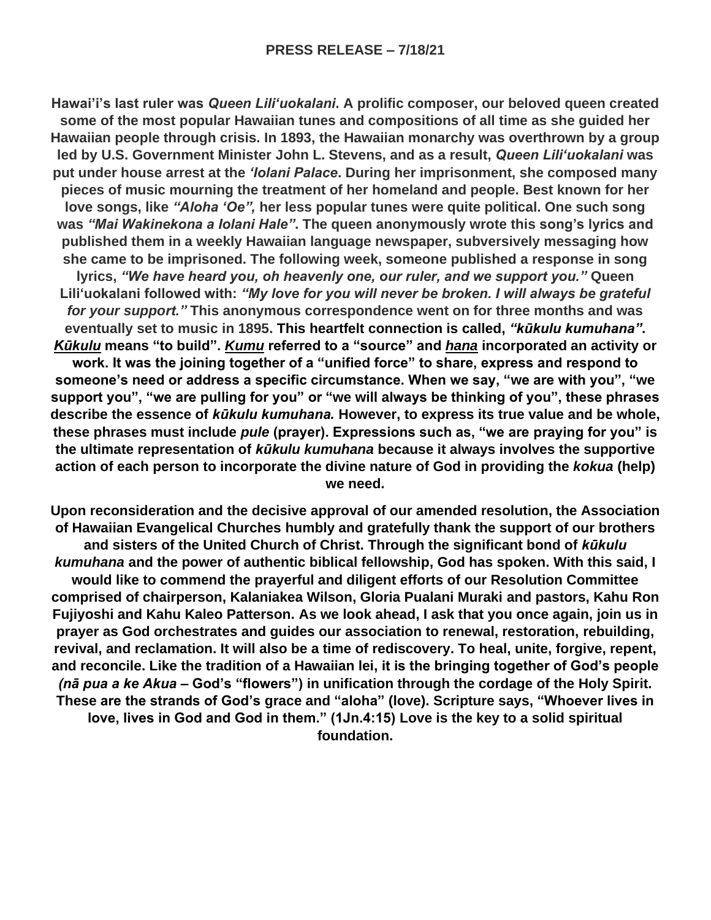**Hawai'i's last ruler was** *Queen Liliʻuokalani***. A prolific composer, our beloved queen created some of the most popular Hawaiian tunes and compositions of all time as she guided her Hawaiian people through crisis. In 1893, the Hawaiian monarchy was overthrown by a group led by U.S. Government Minister John L. Stevens, and as a result,** *Queen Liliʻuokalani* **was put under house arrest at the** *'Iolani Palace***. During her imprisonment, she composed many pieces of music mourning the treatment of her homeland and people. Best known for her love songs, like** *"Aloha 'Oe",* **her less popular tunes were quite political. One such song was** *"Mai Wakinekona a Iolani Hale"***. The queen anonymously wrote this song's lyrics and published them in a weekly Hawaiian language newspaper, subversively messaging how she came to be imprisoned. The following week, someone published a response in song lyrics,** *"We have heard you, oh heavenly one, our ruler, and we support you."* **Queen Liliʻuokalani followed with:** *"My love for you will never be broken. I will always be grateful for your support."* **This anonymous correspondence went on for three months and was eventually set to music in 1895. This heartfelt connection is called,** *"kūkulu kumuhana"***.**  *Kūkulu* **means "to build".** *Kumu* **referred to a "source" and** *hana* **incorporated an activity or work. It was the joining together of a "unified force" to share, express and respond to someone's need or address a specific circumstance. When we say, "we are with you", "we support you", "we are pulling for you" or "we will always be thinking of you", these phrases describe the essence of** *kūkulu kumuhana.* **However, to express its true value and be whole, these phrases must include** *pule* **(prayer). Expressions such as, "we are praying for you" is the ultimate representation of** *kūkulu kumuhana* **because it always involves the supportive action of each person to incorporate the divine nature of God in providing the** *kokua* **(help) we need.** 

**Upon reconsideration and the decisive approval of our amended resolution, the Association of Hawaiian Evangelical Churches humbly and gratefully thank the support of our brothers and sisters of the United Church of Christ. Through the significant bond of** *kūkulu kumuhana* **and the power of authentic biblical fellowship, God has spoken. With this said, I would like to commend the prayerful and diligent efforts of our Resolution Committee comprised of chairperson, Kalaniakea Wilson, Gloria Pualani Muraki and pastors, Kahu Ron Fujiyoshi and Kahu Kaleo Patterson. As we look ahead, I ask that you once again, join us in prayer as God orchestrates and guides our association to renewal, restoration, rebuilding, revival, and reclamation. It will also be a time of rediscovery. To heal, unite, forgive, repent, and reconcile. Like the tradition of a Hawaiian lei, it is the bringing together of God's people** *(nā pua a ke Akua* **– God's "flowers") in unification through the cordage of the Holy Spirit. These are the strands of God's grace and "aloha" (love). Scripture says, "Whoever lives in love, lives in God and God in them." (1Jn.4:15) Love is the key to a solid spiritual foundation.**